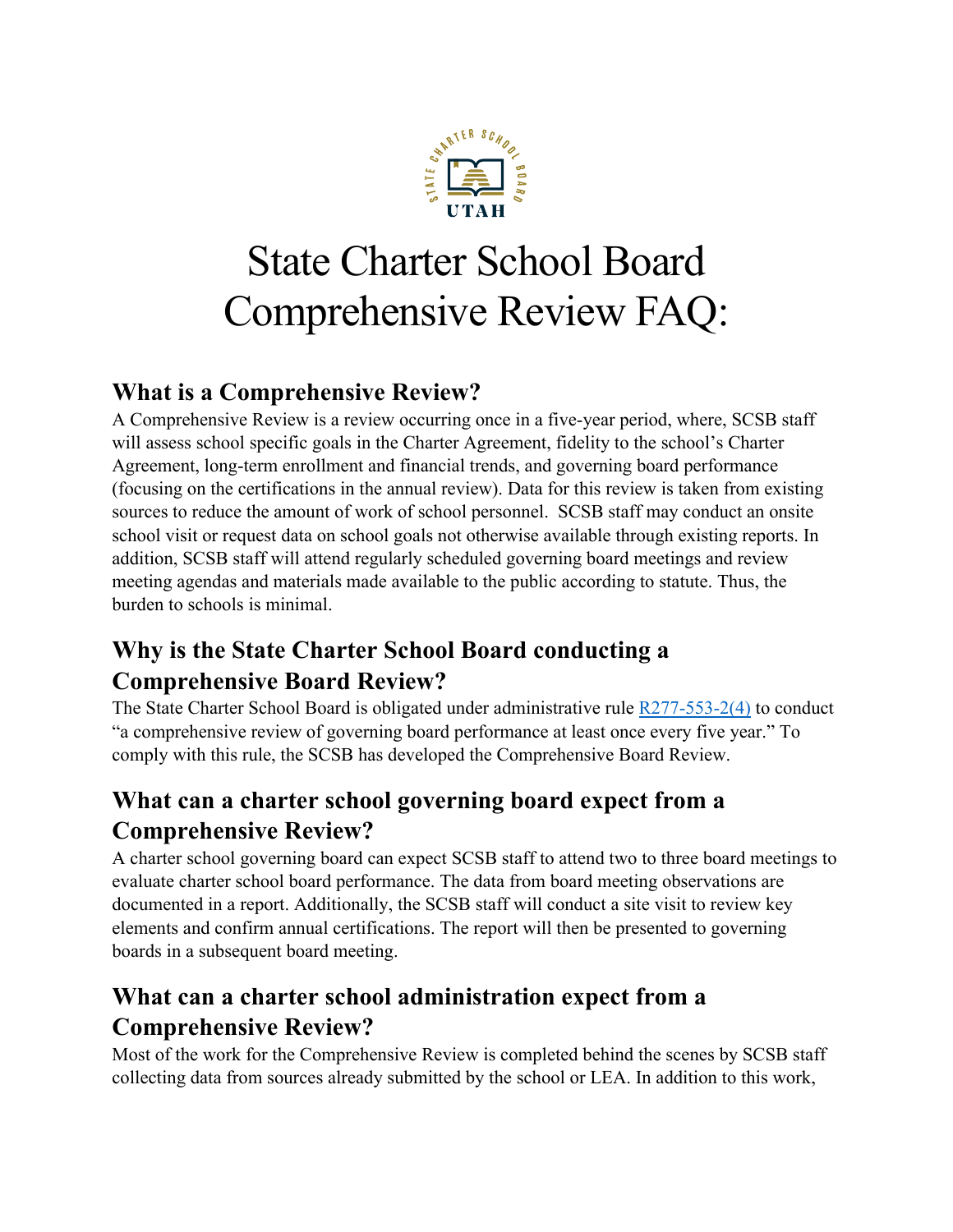

# State Charter School Board Comprehensive Review FAQ:

#### **What is a Comprehensive Review?**

A Comprehensive Review is a review occurring once in a five-year period, where, SCSB staff will assess school specific goals in the Charter Agreement, fidelity to the school's Charter Agreement, long-term enrollment and financial trends, and governing board performance (focusing on the certifications in the annual review). Data for this review is taken from existing sources to reduce the amount of work of school personnel. SCSB staff may conduct an onsite school visit or request data on school goals not otherwise available through existing reports. In addition, SCSB staff will attend regularly scheduled governing board meetings and review meeting agendas and materials made available to the public according to statute. Thus, the burden to schools is minimal.

# **Why is the State Charter School Board conducting a Comprehensive Board Review?**

The State Charter School Board is obligated under administrative rule [R277-553-2\(4\)](https://rules.utah.gov/publicat/code/r277/r277-553.htm#T2) to conduct "a comprehensive review of governing board performance at least once every five year." To comply with this rule, the SCSB has developed the Comprehensive Board Review.

## **What can a charter school governing board expect from a Comprehensive Review?**

A charter school governing board can expect SCSB staff to attend two to three board meetings to evaluate charter school board performance. The data from board meeting observations are documented in a report. Additionally, the SCSB staff will conduct a site visit to review key elements and confirm annual certifications. The report will then be presented to governing boards in a subsequent board meeting.

# **What can a charter school administration expect from a Comprehensive Review?**

Most of the work for the Comprehensive Review is completed behind the scenes by SCSB staff collecting data from sources already submitted by the school or LEA. In addition to this work,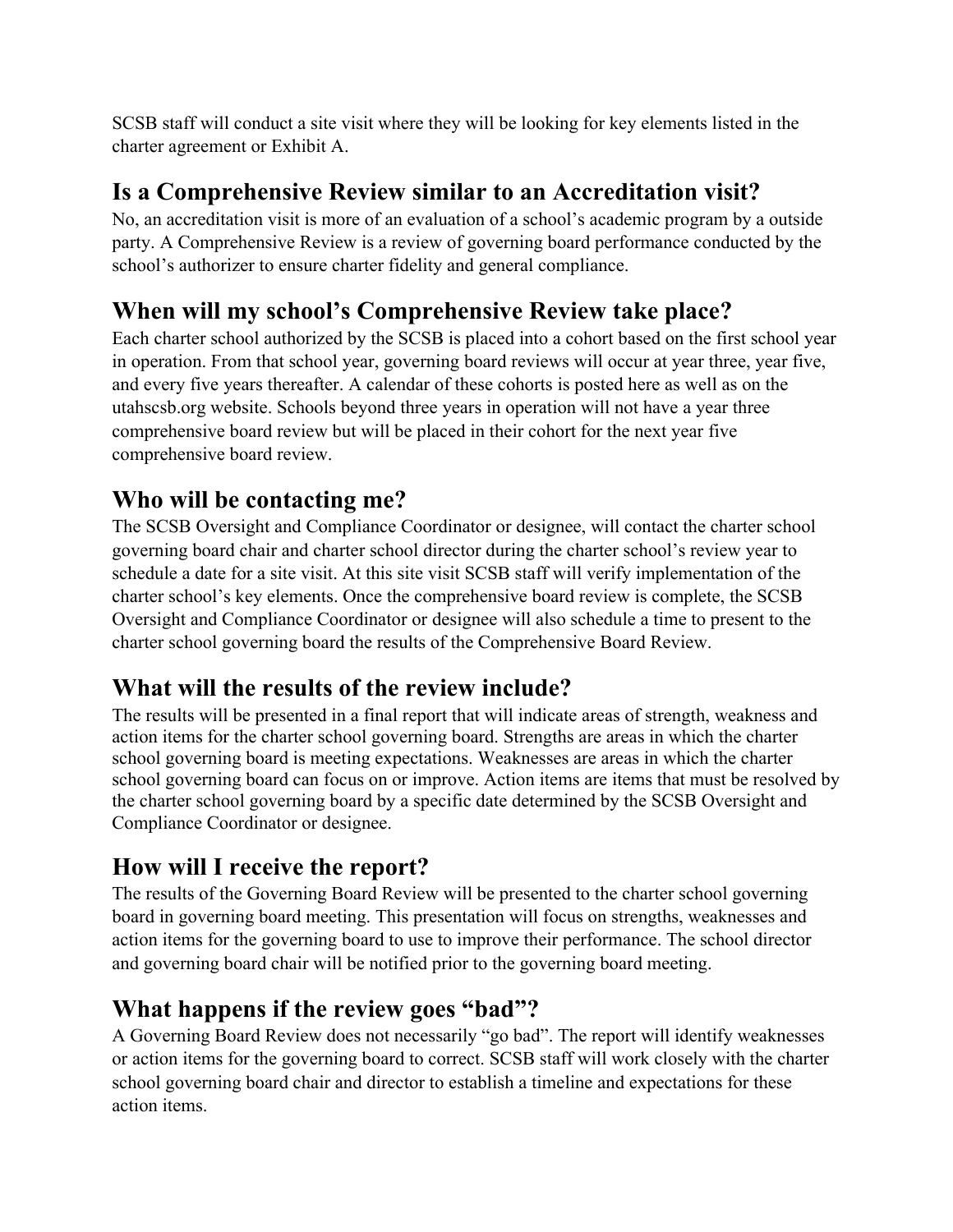SCSB staff will conduct a site visit where they will be looking for key elements listed in the charter agreement or Exhibit A.

#### **Is a Comprehensive Review similar to an Accreditation visit?**

No, an accreditation visit is more of an evaluation of a school's academic program by a outside party. A Comprehensive Review is a review of governing board performance conducted by the school's authorizer to ensure charter fidelity and general compliance.

## **When will my school's Comprehensive Review take place?**

Each charter school authorized by the SCSB is placed into a cohort based on the first school year in operation. From that school year, governing board reviews will occur at year three, year five, and every five years thereafter. A calendar of these cohorts is posted here as well as on the utahscsb.org website. Schools beyond three years in operation will not have a year three comprehensive board review but will be placed in their cohort for the next year five comprehensive board review.

#### **Who will be contacting me?**

The SCSB Oversight and Compliance Coordinator or designee, will contact the charter school governing board chair and charter school director during the charter school's review year to schedule a date for a site visit. At this site visit SCSB staff will verify implementation of the charter school's key elements. Once the comprehensive board review is complete, the SCSB Oversight and Compliance Coordinator or designee will also schedule a time to present to the charter school governing board the results of the Comprehensive Board Review.

#### **What will the results of the review include?**

The results will be presented in a final report that will indicate areas of strength, weakness and action items for the charter school governing board. Strengths are areas in which the charter school governing board is meeting expectations. Weaknesses are areas in which the charter school governing board can focus on or improve. Action items are items that must be resolved by the charter school governing board by a specific date determined by the SCSB Oversight and Compliance Coordinator or designee.

#### **How will I receive the report?**

The results of the Governing Board Review will be presented to the charter school governing board in governing board meeting. This presentation will focus on strengths, weaknesses and action items for the governing board to use to improve their performance. The school director and governing board chair will be notified prior to the governing board meeting.

#### **What happens if the review goes "bad"?**

A Governing Board Review does not necessarily "go bad". The report will identify weaknesses or action items for the governing board to correct. SCSB staff will work closely with the charter school governing board chair and director to establish a timeline and expectations for these action items.